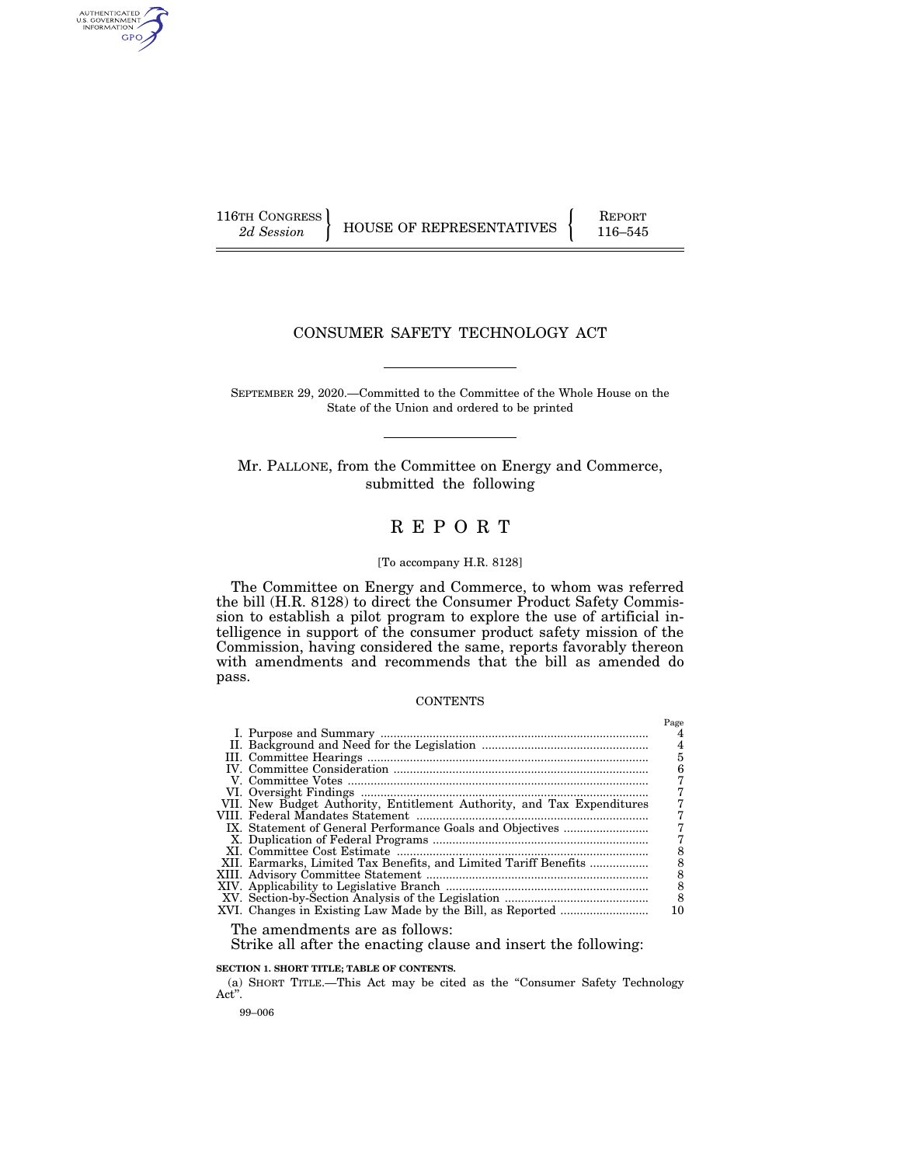AUTHENTICATED<br>U.S. GOVERNMENT<br>INFORMATION GPO

116TH CONGRESS HOUSE OF REPRESENTATIVES FEPORT 116–545

# CONSUMER SAFETY TECHNOLOGY ACT

SEPTEMBER 29, 2020.—Committed to the Committee of the Whole House on the State of the Union and ordered to be printed

Mr. PALLONE, from the Committee on Energy and Commerce, submitted the following

# R E P O R T

#### [To accompany H.R. 8128]

The Committee on Energy and Commerce, to whom was referred the bill (H.R. 8128) to direct the Consumer Product Safety Commission to establish a pilot program to explore the use of artificial intelligence in support of the consumer product safety mission of the Commission, having considered the same, reports favorably thereon with amendments and recommends that the bill as amended do pass.

#### **CONTENTS**

|                                                                        | Page |
|------------------------------------------------------------------------|------|
|                                                                        |      |
|                                                                        | 4    |
|                                                                        | 5    |
|                                                                        | 6    |
|                                                                        |      |
|                                                                        |      |
| VII. New Budget Authority, Entitlement Authority, and Tax Expenditures |      |
|                                                                        |      |
|                                                                        |      |
|                                                                        |      |
|                                                                        | 8    |
| XII. Earmarks, Limited Tax Benefits, and Limited Tariff Benefits       | 8    |
|                                                                        | 8    |
|                                                                        | 8    |
|                                                                        | 8    |
|                                                                        | 10   |
|                                                                        |      |

The amendments are as follows:

Strike all after the enacting clause and insert the following:

**SECTION 1. SHORT TITLE; TABLE OF CONTENTS.** 

(a) SHORT TITLE.—This Act may be cited as the ''Consumer Safety Technology Act''.

99–006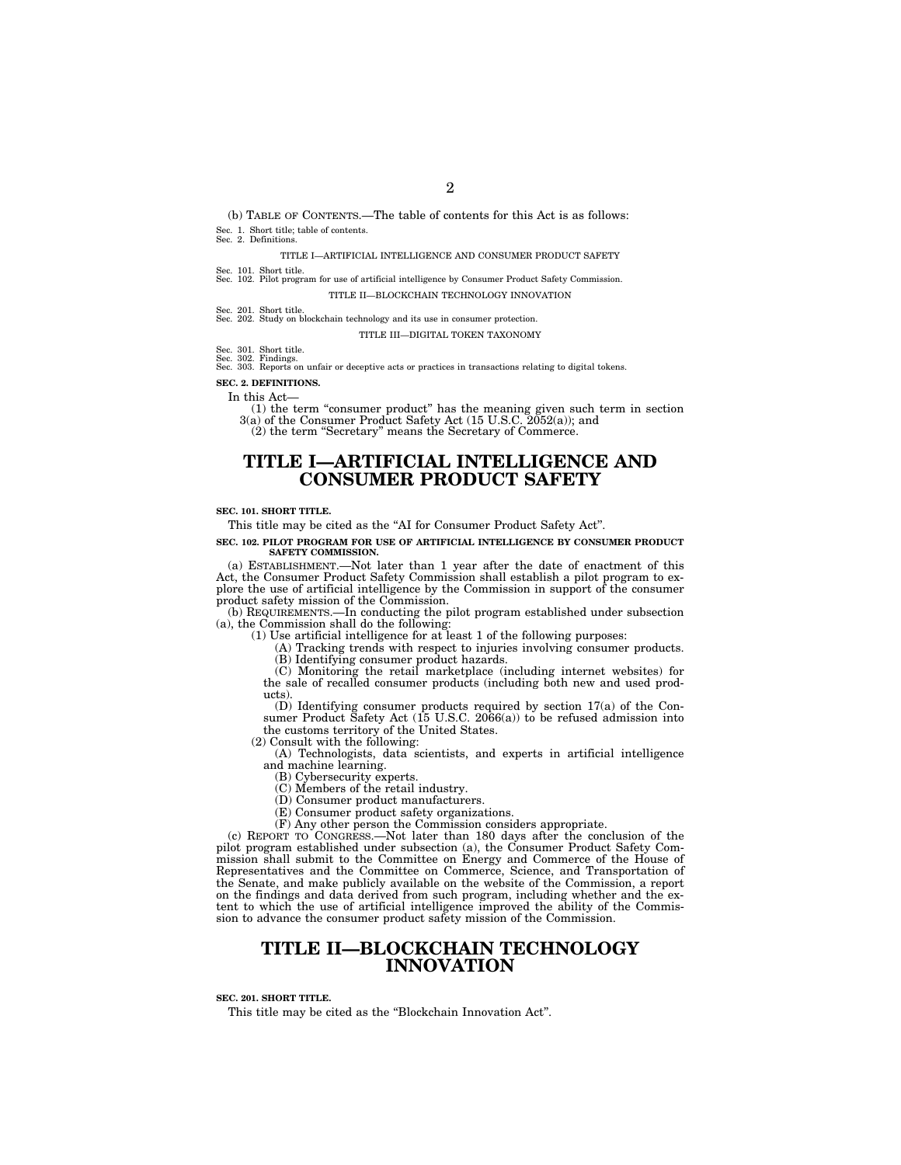(b) TABLE OF CONTENTS.—The table of contents for this Act is as follows: Sec. 1. Short title; table of contents. Sec. 2. Definitions.

TITLE I—ARTIFICIAL INTELLIGENCE AND CONSUMER PRODUCT SAFETY

Sec. 101. Short title. Sec. 102. Pilot program for use of artificial intelligence by Consumer Product Safety Commission. TITLE II—BLOCKCHAIN TECHNOLOGY INNOVATION

Sec. 201. Short title. Sec. 202. Study on blockchain technology and its use in consumer protection.

TITLE III—DIGITAL TOKEN TAXONOMY

Sec. 301. Short title.

Sec. 302. Findings. Sec. 303. Reports on unfair or deceptive acts or practices in transactions relating to digital tokens.

# **SEC. 2. DEFINITIONS.**

In this Act—

(1) the term "consumer product" has the meaning given such term in section  $3(a)$  of the Consumer Product Safety Act (15 U.S.C. 2052(a)); and (2) the term ''Secretary'' means the Secretary of Commerce.

# **TITLE I—ARTIFICIAL INTELLIGENCE AND CONSUMER PRODUCT SAFETY**

#### **SEC. 101. SHORT TITLE.**

This title may be cited as the "AI for Consumer Product Safety Act".

#### **SEC. 102. PILOT PROGRAM FOR USE OF ARTIFICIAL INTELLIGENCE BY CONSUMER PRODUCT SAFETY COMMISSION.**

(a) ESTABLISHMENT.—Not later than 1 year after the date of enactment of this Act, the Consumer Product Safety Commission shall establish a pilot program to explore the use of artificial intelligence by the Commission in support of the consumer product safety mission of the Commission.

(b) REQUIREMENTS.—In conducting the pilot program established under subsection (a), the Commission shall do the following:

(1) Use artificial intelligence for at least 1 of the following purposes:

(A) Tracking trends with respect to injuries involving consumer products. (B) Identifying consumer product hazards.

(C) Monitoring the retail marketplace (including internet websites) for the sale of recalled consumer products (including both new and used products).

(D) Identifying consumer products required by section 17(a) of the Consumer Product Safety Act (15 U.S.C. 2066(a)) to be refused admission into the customs territory of the United States.

(2) Consult with the following:

(A) Technologists, data scientists, and experts in artificial intelligence and machine learning.

(B) Cybersecurity experts.

(C) Members of the retail industry.

(D) Consumer product manufacturers.

(E) Consumer product safety organizations.

(F) Any other person the Commission considers appropriate.

(c) REPORT TO CONGRESS.—Not later than 180 days after the conclusion of the pilot program established under subsection (a), the Consumer Product Safety Commission shall submit to the Committee on Energy and Commerce of the House of Representatives and the Committee on Commerce, Science, and Transportation of the Senate, and make publicly available on the website of the Commission, a report on the findings and data derived from such program, including whether and the extent to which the use of artificial intelligence improved the ability of the Commission to advance the consumer product safety mission of the Commission.

# **TITLE II—BLOCKCHAIN TECHNOLOGY INNOVATION**

#### **SEC. 201. SHORT TITLE.**

This title may be cited as the ''Blockchain Innovation Act''.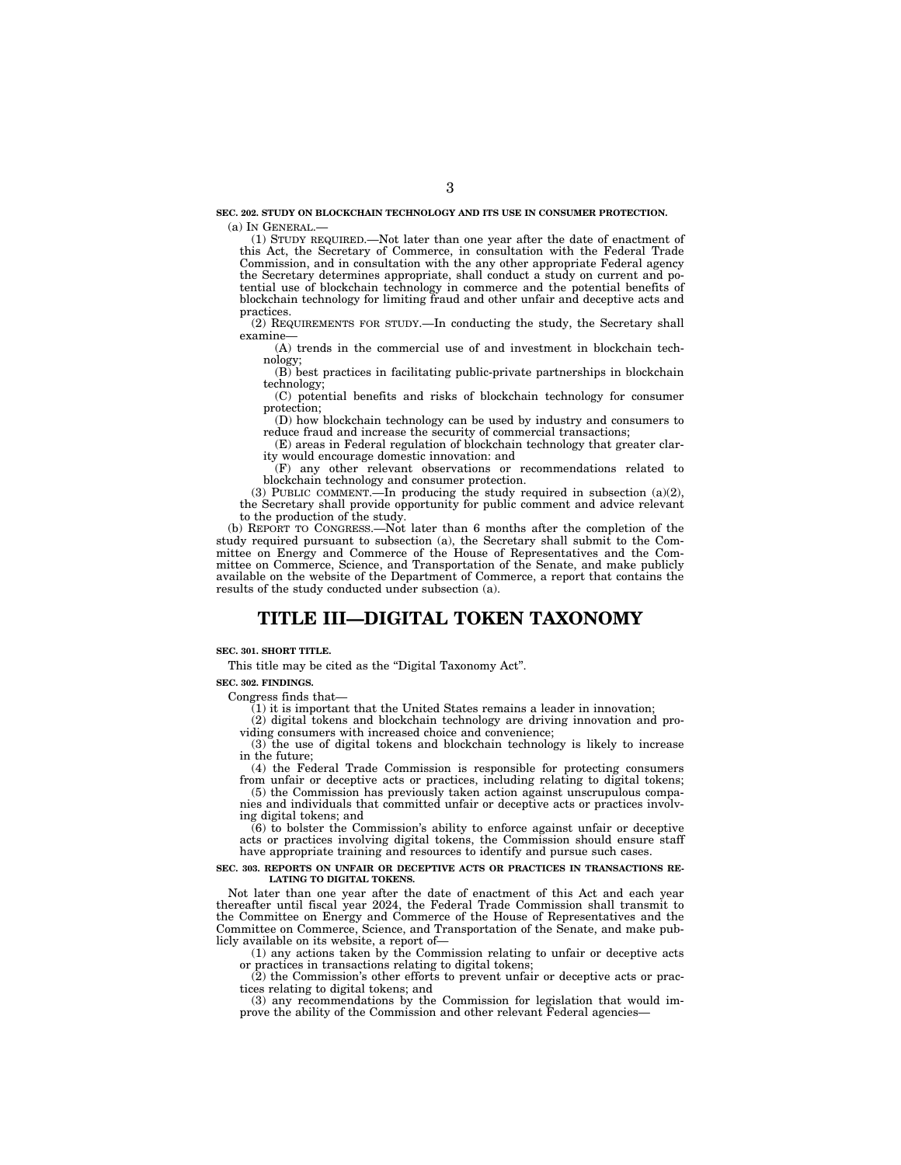**SEC. 202. STUDY ON BLOCKCHAIN TECHNOLOGY AND ITS USE IN CONSUMER PROTECTION.**  (a) IN GENERAL.—

(1) STUDY REQUIRED.—Not later than one year after the date of enactment of this Act, the Secretary of Commerce, in consultation with the Federal Trade Commission, and in consultation with the any other appropriate Federal agency the Secretary determines appropriate, shall conduct a study on current and potential use of blockchain technology in commerce and the potential benefits of blockchain technology for limiting fraud and other unfair and deceptive acts and practices.

(2) REQUIREMENTS FOR STUDY.—In conducting the study, the Secretary shall examine—

(A) trends in the commercial use of and investment in blockchain technology;

(B) best practices in facilitating public-private partnerships in blockchain technology;

(C) potential benefits and risks of blockchain technology for consumer protection;

(D) how blockchain technology can be used by industry and consumers to reduce fraud and increase the security of commercial transactions;

(E) areas in Federal regulation of blockchain technology that greater clarity would encourage domestic innovation: and

(F) any other relevant observations or recommendations related to blockchain technology and consumer protection.

(3) PUBLIC COMMENT.—In producing the study required in subsection  $(a)(2)$ , the Secretary shall provide opportunity for public comment and advice relevant to the production of the study.

(b) REPORT TO CONGRESS.—Not later than 6 months after the completion of the study required pursuant to subsection (a), the Secretary shall submit to the Committee on Energy and Commerce of the House of Representatives and the Committee on Commerce, Science, and Transportation of the Senate, and make publicly available on the website of the Department of Commerce, a report that contains the results of the study conducted under subsection (a).

# **TITLE III—DIGITAL TOKEN TAXONOMY**

#### **SEC. 301. SHORT TITLE.**

This title may be cited as the "Digital Taxonomy Act".

**SEC. 302. FINDINGS.** 

Congress finds that—

 $(1)$  it is important that the United States remains a leader in innovation;

(2) digital tokens and blockchain technology are driving innovation and providing consumers with increased choice and convenience;

(3) the use of digital tokens and blockchain technology is likely to increase in the future;

(4) the Federal Trade Commission is responsible for protecting consumers from unfair or deceptive acts or practices, including relating to digital tokens; (5) the Commission has previously taken action against unscrupulous compa-

nies and individuals that committed unfair or deceptive acts or practices involving digital tokens; and (6) to bolster the Commission's ability to enforce against unfair or deceptive

acts or practices involving digital tokens, the Commission should ensure staff have appropriate training and resources to identify and pursue such cases.

#### **SEC. 303. REPORTS ON UNFAIR OR DECEPTIVE ACTS OR PRACTICES IN TRANSACTIONS RE-LATING TO DIGITAL TOKENS.**

Not later than one year after the date of enactment of this Act and each year thereafter until fiscal year 2024, the Federal Trade Commission shall transmit to the Committee on Energy and Commerce of the House of Representatives and the Committee on Commerce, Science, and Transportation of the Senate, and make publicly available on its website, a report of—

(1) any actions taken by the Commission relating to unfair or deceptive acts or practices in transactions relating to digital tokens;

(2) the Commission's other efforts to prevent unfair or deceptive acts or practices relating to digital tokens; and

(3) any recommendations by the Commission for legislation that would improve the ability of the Commission and other relevant Federal agencies-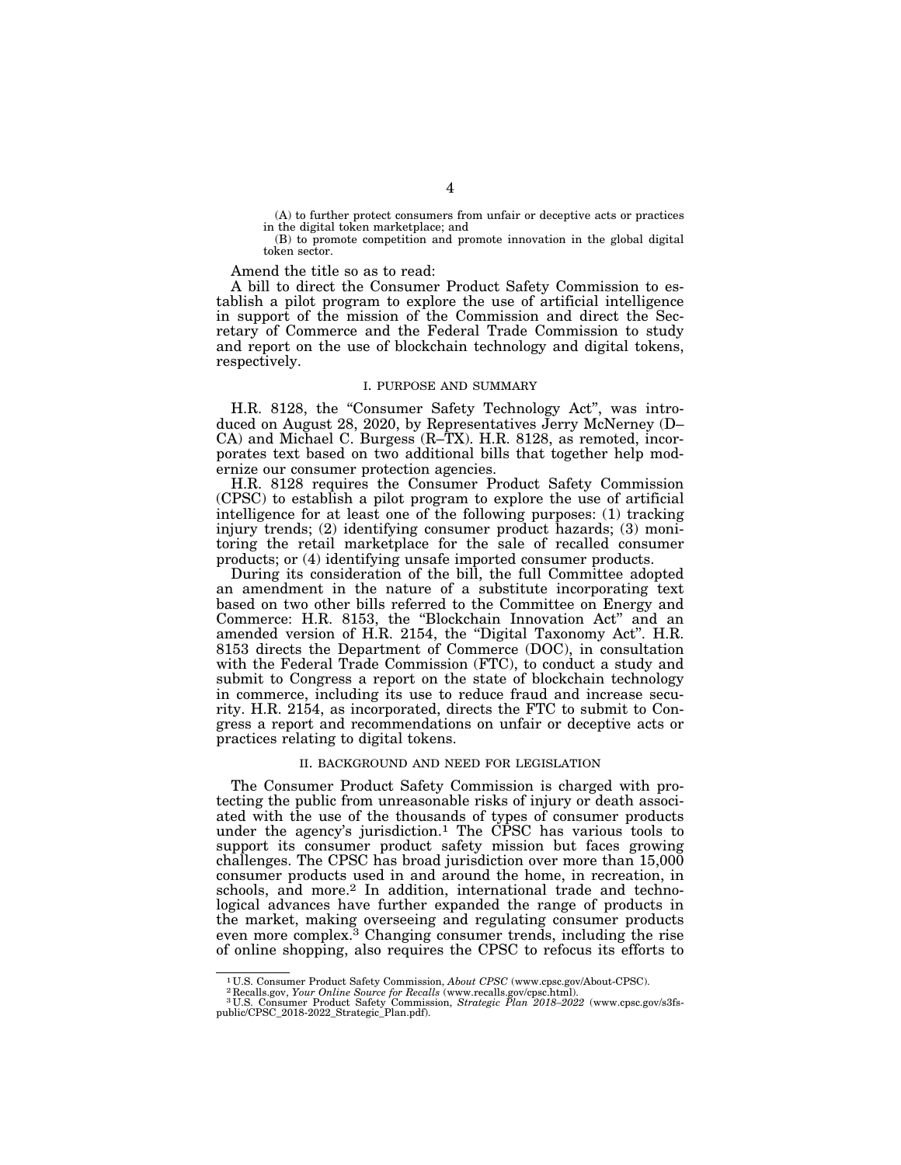(A) to further protect consumers from unfair or deceptive acts or practices in the digital token marketplace; and

(B) to promote competition and promote innovation in the global digital token sector.

Amend the title so as to read:

A bill to direct the Consumer Product Safety Commission to establish a pilot program to explore the use of artificial intelligence in support of the mission of the Commission and direct the Secretary of Commerce and the Federal Trade Commission to study and report on the use of blockchain technology and digital tokens, respectively.

# I. PURPOSE AND SUMMARY

H.R. 8128, the "Consumer Safety Technology Act", was introduced on August 28, 2020, by Representatives Jerry McNerney (D-CA) and Michael C. Burgess (R–TX). H.R. 8128, as remoted, incorporates text based on two additional bills that together help modernize our consumer protection agencies.

H.R. 8128 requires the Consumer Product Safety Commission (CPSC) to establish a pilot program to explore the use of artificial intelligence for at least one of the following purposes: (1) tracking injury trends; (2) identifying consumer product hazards; (3) monitoring the retail marketplace for the sale of recalled consumer products; or (4) identifying unsafe imported consumer products.

During its consideration of the bill, the full Committee adopted an amendment in the nature of a substitute incorporating text based on two other bills referred to the Committee on Energy and Commerce: H.R. 8153, the ''Blockchain Innovation Act'' and an amended version of H.R. 2154, the ''Digital Taxonomy Act''. H.R. 8153 directs the Department of Commerce (DOC), in consultation with the Federal Trade Commission (FTC), to conduct a study and submit to Congress a report on the state of blockchain technology in commerce, including its use to reduce fraud and increase security. H.R. 2154, as incorporated, directs the FTC to submit to Congress a report and recommendations on unfair or deceptive acts or practices relating to digital tokens.

#### II. BACKGROUND AND NEED FOR LEGISLATION

The Consumer Product Safety Commission is charged with protecting the public from unreasonable risks of injury or death associated with the use of the thousands of types of consumer products under the agency's jurisdiction.<sup>1</sup> The CPSC has various tools to support its consumer product safety mission but faces growing challenges. The CPSC has broad jurisdiction over more than 15,000 consumer products used in and around the home, in recreation, in schools, and more.<sup>2</sup> In addition, international trade and technological advances have further expanded the range of products in the market, making overseeing and regulating consumer products even more complex.3 Changing consumer trends, including the rise of online shopping, also requires the CPSC to refocus its efforts to

 $^1$  U.S. Consumer Product Safety Commission, About CPSC (www.cpsc.gov/About-CPSC).<br> $^2$ Recalls.gov, Your Online Source for Recalls (www.recalls.gov/cpsc.html).<br>U.S. Consumer Product Safety Commission, Strategic Plan 2018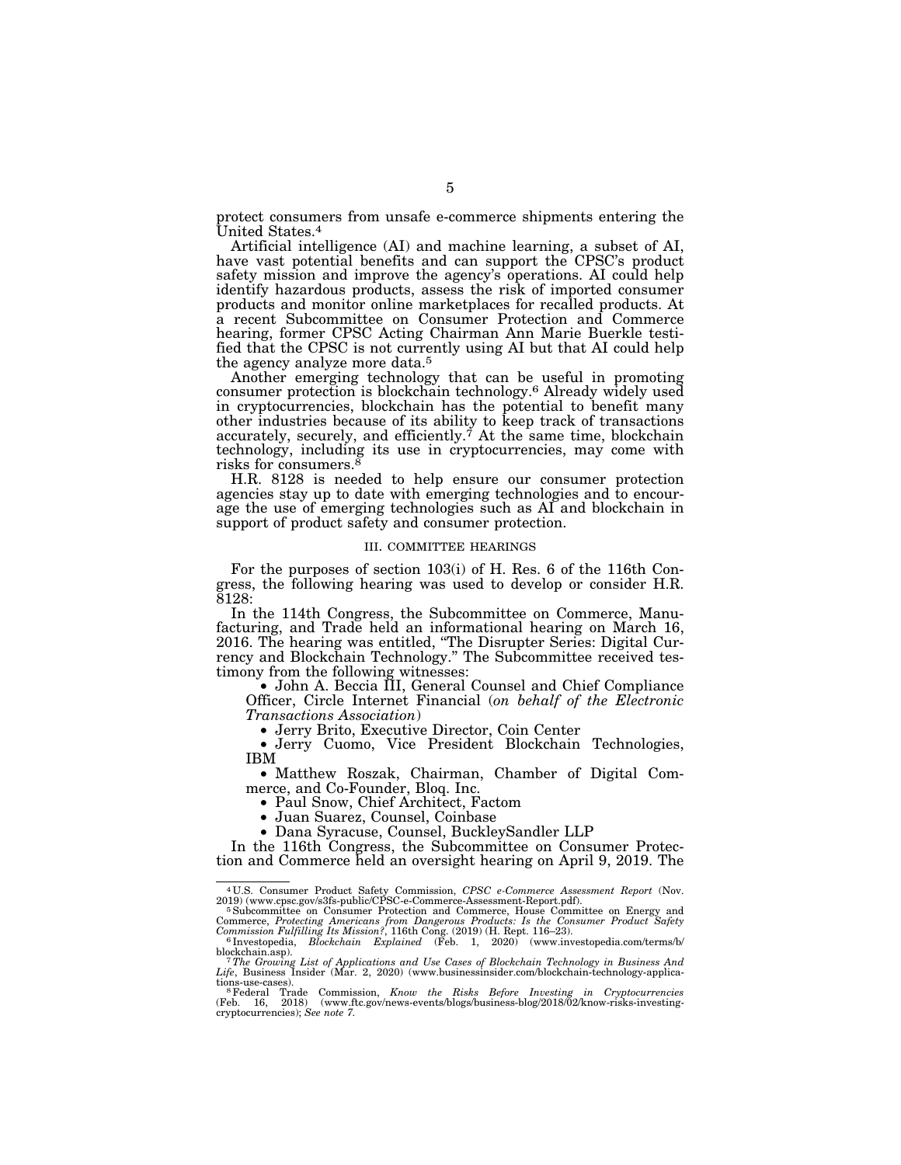protect consumers from unsafe e-commerce shipments entering the United States.4

Artificial intelligence (AI) and machine learning, a subset of AI, have vast potential benefits and can support the CPSC's product safety mission and improve the agency's operations. AI could help identify hazardous products, assess the risk of imported consumer products and monitor online marketplaces for recalled products. At a recent Subcommittee on Consumer Protection and Commerce hearing, former CPSC Acting Chairman Ann Marie Buerkle testified that the CPSC is not currently using AI but that AI could help the agency analyze more data.<sup>5</sup>

Another emerging technology that can be useful in promoting consumer protection is blockchain technology.6 Already widely used in cryptocurrencies, blockchain has the potential to benefit many other industries because of its ability to keep track of transactions accurately, securely, and efficiently.<sup> $\check{\tau}$ </sup> At the same time, blockchain technology, including its use in cryptocurrencies, may come with risks for consumers.

H.R. 8128 is needed to help ensure our consumer protection agencies stay up to date with emerging technologies and to encourage the use of emerging technologies such as AI and blockchain in support of product safety and consumer protection.

#### III. COMMITTEE HEARINGS

For the purposes of section 103(i) of H. Res. 6 of the 116th Congress, the following hearing was used to develop or consider H.R. 8128:

In the 114th Congress, the Subcommittee on Commerce, Manufacturing, and Trade held an informational hearing on March 16, 2016. The hearing was entitled, ''The Disrupter Series: Digital Currency and Blockchain Technology.'' The Subcommittee received testimony from the following witnesses:

• John A. Beccia III, General Counsel and Chief Compliance Officer, Circle Internet Financial (*on behalf of the Electronic Transactions Association*)

• Jerry Cuomo, Vice President Blockchain Technologies, IBM

• Matthew Roszak, Chairman, Chamber of Digital Commerce, and Co-Founder, Bloq. Inc.

- 
- 
- Paul Snow, Chief Architect, Factom Juan Suarez, Counsel, Coinbase Dana Syracuse, Counsel, BuckleySandler LLP

In the 116th Congress, the Subcommittee on Consumer Protection and Commerce held an oversight hearing on April 9, 2019. The

<sup>4</sup> U.S. Consumer Product Safety Commission, *CPSC e-Commerce Assessment Report* (Nov.

<sup>2019) (</sup>www.cpsc.gov/s3fs-public/CPSC-e-Commerce-Assessment-Report.pdf).<br>
<sup>5</sup> Subcommittee on Consumer Protection and Commerce, House Committee on Energy and Commerce, *Protecting Americans from Dangerous Products: Is the* 

blockchain.asp).<br>*<sup>7</sup>The Growing List of Applications and Use Cases of Blockchain Technology in Business And<br>Life, Business Insider (Mar. 2, 2020) (www.businessinsider.com/blockchain-technology-applica-*

tions-use-cases).<br><sup>8</sup> Federal Trade Commission, *Know the Risks Before Investing in Cryptocurrencies*<br>(Feb. 16, 2018) (www.ftc.gov/news-events/blogs/business-blog/2018/02/know-risks-investingcryptocurrencies); *See note 7.*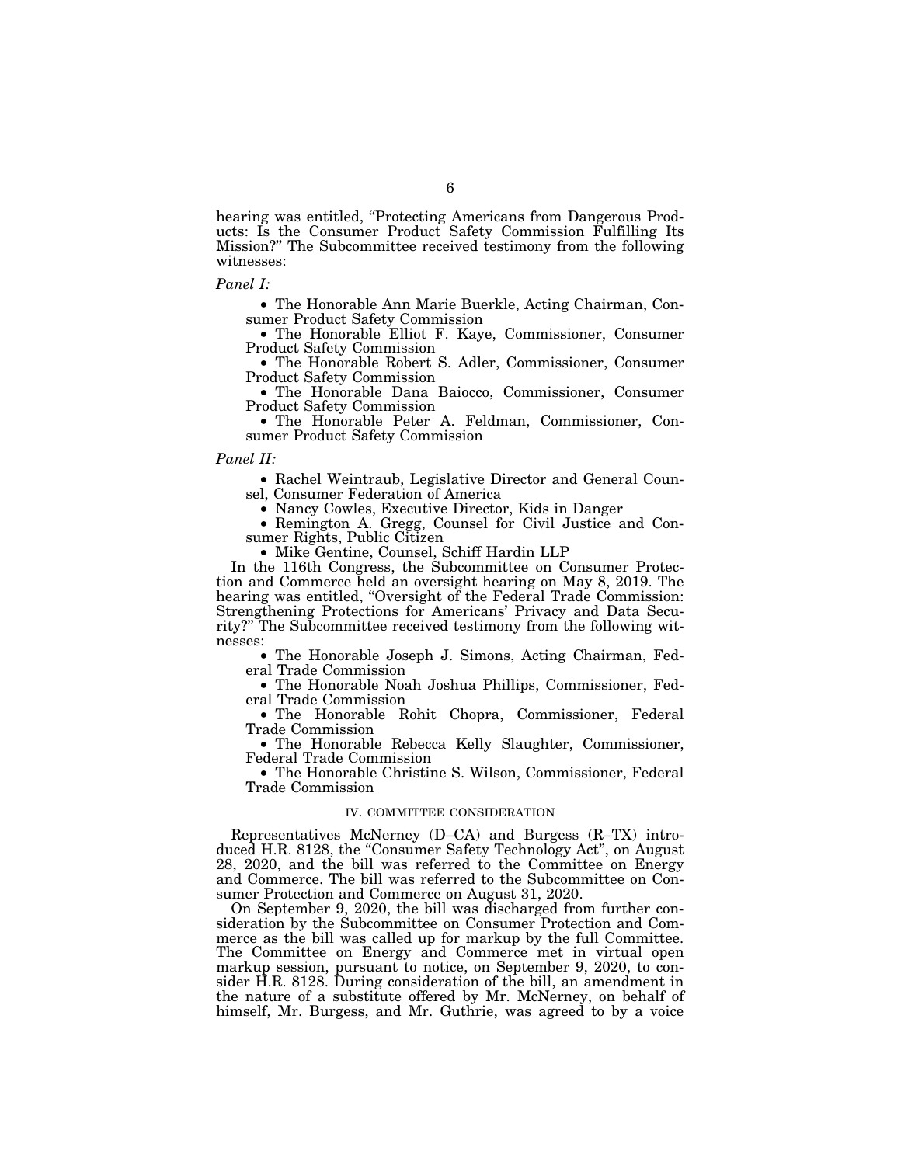hearing was entitled, "Protecting Americans from Dangerous Products: Is the Consumer Product Safety Commission Fulfilling Its Mission?'' The Subcommittee received testimony from the following witnesses:

#### *Panel I:*

• The Honorable Ann Marie Buerkle, Acting Chairman, Consumer Product Safety Commission

• The Honorable Elliot F. Kaye, Commissioner, Consumer Product Safety Commission

• The Honorable Robert S. Adler, Commissioner, Consumer Product Safety Commission

• The Honorable Dana Baiocco, Commissioner, Consumer Product Safety Commission

• The Honorable Peter A. Feldman, Commissioner, Consumer Product Safety Commission

# *Panel II:*

• Rachel Weintraub, Legislative Director and General Counsel, Consumer Federation of America<br>• Nancy Cowles, Executive Director, Kids in Danger

• Remington A. Gregg, Counsel for Civil Justice and Consumer Rights, Public Citizen

• Mike Gentine, Counsel, Schiff Hardin LLP

In the 116th Congress, the Subcommittee on Consumer Protection and Commerce held an oversight hearing on May 8, 2019. The hearing was entitled, "Oversight of the Federal Trade Commission: Strengthening Protections for Americans' Privacy and Data Security?'' The Subcommittee received testimony from the following witnesses:

• The Honorable Joseph J. Simons, Acting Chairman, Federal Trade Commission

• The Honorable Noah Joshua Phillips, Commissioner, Federal Trade Commission

• The Honorable Rohit Chopra, Commissioner, Federal Trade Commission

• The Honorable Rebecca Kelly Slaughter, Commissioner, Federal Trade Commission

• The Honorable Christine S. Wilson, Commissioner, Federal Trade Commission

#### IV. COMMITTEE CONSIDERATION

Representatives McNerney (D–CA) and Burgess (R–TX) introduced H.R. 8128, the ''Consumer Safety Technology Act'', on August 28, 2020, and the bill was referred to the Committee on Energy and Commerce. The bill was referred to the Subcommittee on Consumer Protection and Commerce on August 31, 2020.

On September 9, 2020, the bill was discharged from further consideration by the Subcommittee on Consumer Protection and Commerce as the bill was called up for markup by the full Committee. The Committee on Energy and Commerce met in virtual open markup session, pursuant to notice, on September 9, 2020, to consider H.R. 8128. During consideration of the bill, an amendment in the nature of a substitute offered by Mr. McNerney, on behalf of himself, Mr. Burgess, and Mr. Guthrie, was agreed to by a voice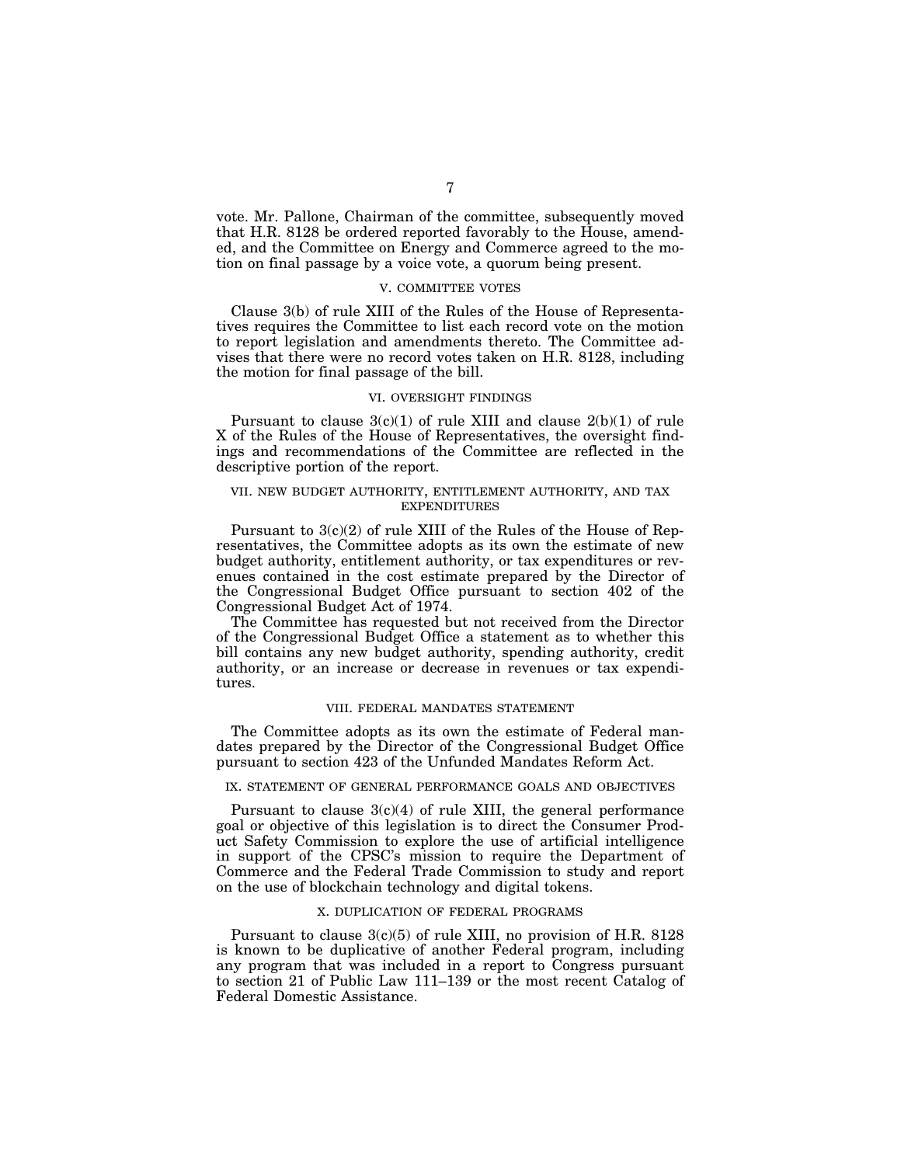vote. Mr. Pallone, Chairman of the committee, subsequently moved that H.R. 8128 be ordered reported favorably to the House, amended, and the Committee on Energy and Commerce agreed to the motion on final passage by a voice vote, a quorum being present.

## V. COMMITTEE VOTES

Clause 3(b) of rule XIII of the Rules of the House of Representatives requires the Committee to list each record vote on the motion to report legislation and amendments thereto. The Committee advises that there were no record votes taken on H.R. 8128, including the motion for final passage of the bill.

# VI. OVERSIGHT FINDINGS

Pursuant to clause  $3(c)(1)$  of rule XIII and clause  $2(b)(1)$  of rule X of the Rules of the House of Representatives, the oversight findings and recommendations of the Committee are reflected in the descriptive portion of the report.

# VII. NEW BUDGET AUTHORITY, ENTITLEMENT AUTHORITY, AND TAX EXPENDITURES

Pursuant to 3(c)(2) of rule XIII of the Rules of the House of Representatives, the Committee adopts as its own the estimate of new budget authority, entitlement authority, or tax expenditures or revenues contained in the cost estimate prepared by the Director of the Congressional Budget Office pursuant to section 402 of the Congressional Budget Act of 1974.

The Committee has requested but not received from the Director of the Congressional Budget Office a statement as to whether this bill contains any new budget authority, spending authority, credit authority, or an increase or decrease in revenues or tax expenditures.

## VIII. FEDERAL MANDATES STATEMENT

The Committee adopts as its own the estimate of Federal mandates prepared by the Director of the Congressional Budget Office pursuant to section 423 of the Unfunded Mandates Reform Act.

# IX. STATEMENT OF GENERAL PERFORMANCE GOALS AND OBJECTIVES

Pursuant to clause  $3(c)(4)$  of rule XIII, the general performance goal or objective of this legislation is to direct the Consumer Product Safety Commission to explore the use of artificial intelligence in support of the CPSC's mission to require the Department of Commerce and the Federal Trade Commission to study and report on the use of blockchain technology and digital tokens.

#### X. DUPLICATION OF FEDERAL PROGRAMS

Pursuant to clause  $3(c)(5)$  of rule XIII, no provision of H.R. 8128 is known to be duplicative of another Federal program, including any program that was included in a report to Congress pursuant to section 21 of Public Law 111–139 or the most recent Catalog of Federal Domestic Assistance.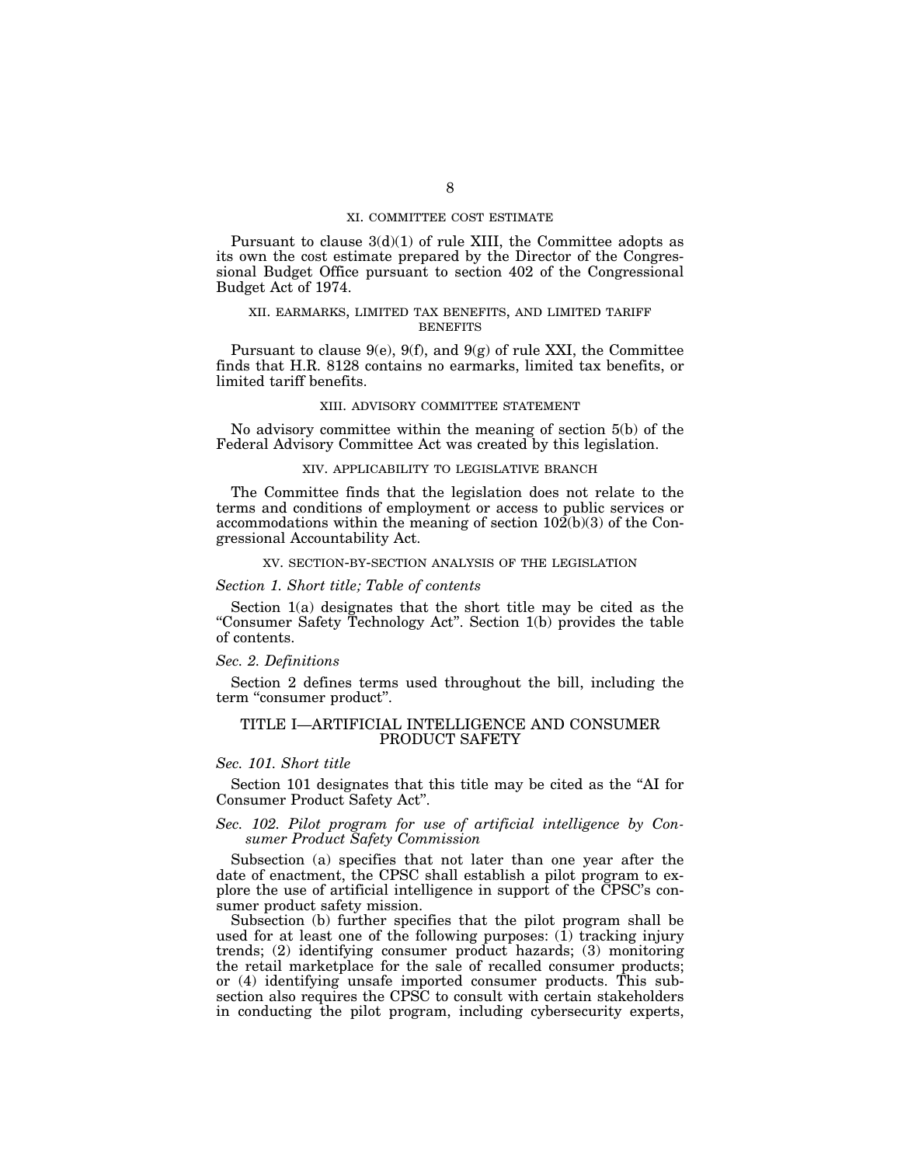## XI. COMMITTEE COST ESTIMATE

Pursuant to clause  $3(d)(1)$  of rule XIII, the Committee adopts as its own the cost estimate prepared by the Director of the Congressional Budget Office pursuant to section 402 of the Congressional Budget Act of 1974.

# XII. EARMARKS, LIMITED TAX BENEFITS, AND LIMITED TARIFF **BENEFITS**

Pursuant to clause  $9(e)$ ,  $9(f)$ , and  $9(g)$  of rule XXI, the Committee finds that H.R. 8128 contains no earmarks, limited tax benefits, or limited tariff benefits.

## XIII. ADVISORY COMMITTEE STATEMENT

No advisory committee within the meaning of section 5(b) of the Federal Advisory Committee Act was created by this legislation.

## XIV. APPLICABILITY TO LEGISLATIVE BRANCH

The Committee finds that the legislation does not relate to the terms and conditions of employment or access to public services or accommodations within the meaning of section 102(b)(3) of the Congressional Accountability Act.

#### XV. SECTION-BY-SECTION ANALYSIS OF THE LEGISLATION

# *Section 1. Short title; Table of contents*

Section 1(a) designates that the short title may be cited as the "Consumer Safety Technology Act". Section 1(b) provides the table of contents.

### *Sec. 2. Definitions*

Section 2 defines terms used throughout the bill, including the term ''consumer product''.

### TITLE I—ARTIFICIAL INTELLIGENCE AND CONSUMER PRODUCT SAFETY

#### *Sec. 101. Short title*

Section 101 designates that this title may be cited as the ''AI for Consumer Product Safety Act''.

# *Sec. 102. Pilot program for use of artificial intelligence by Consumer Product Safety Commission*

Subsection (a) specifies that not later than one year after the date of enactment, the CPSC shall establish a pilot program to explore the use of artificial intelligence in support of the CPSC's consumer product safety mission.

Subsection (b) further specifies that the pilot program shall be used for at least one of the following purposes: (1) tracking injury trends; (2) identifying consumer product hazards; (3) monitoring the retail marketplace for the sale of recalled consumer products; or (4) identifying unsafe imported consumer products. This subsection also requires the CPSC to consult with certain stakeholders in conducting the pilot program, including cybersecurity experts,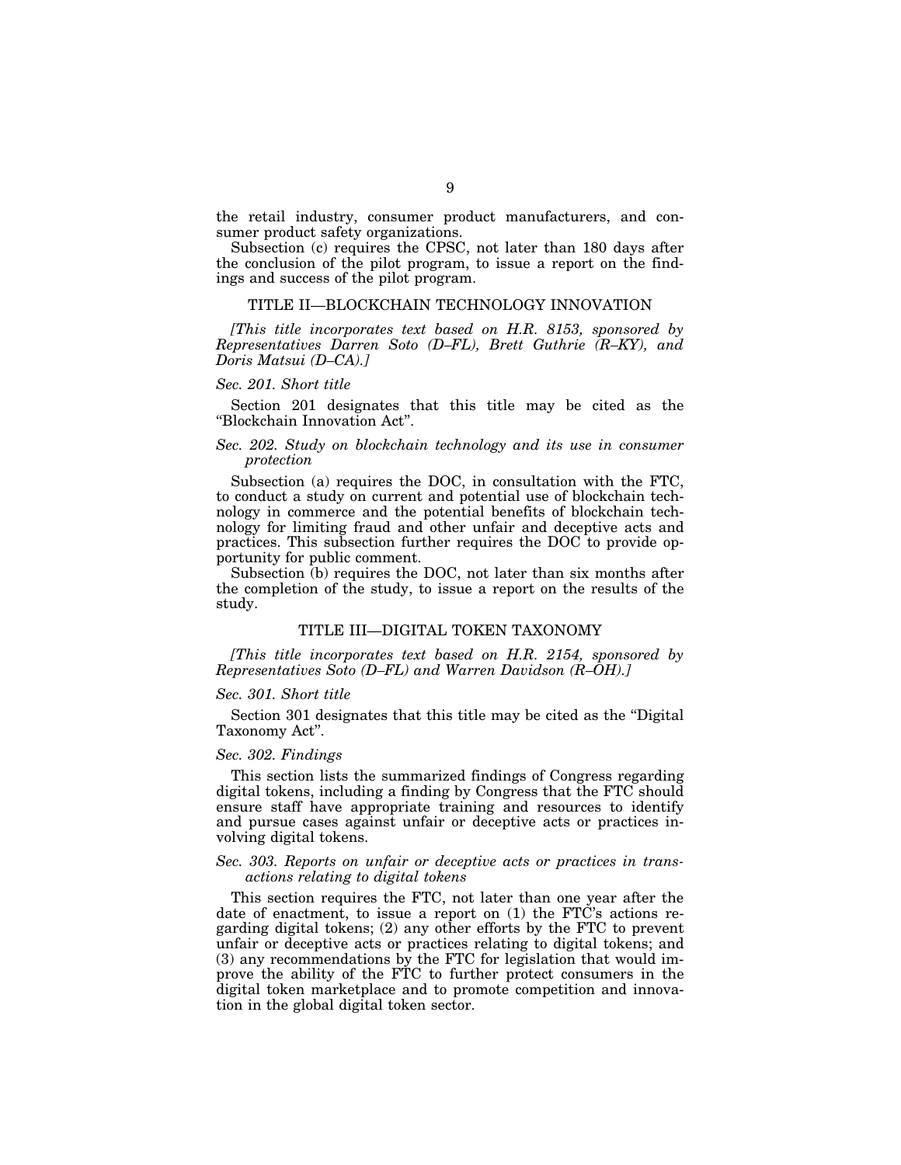the retail industry, consumer product manufacturers, and consumer product safety organizations.

Subsection (c) requires the CPSC, not later than 180 days after the conclusion of the pilot program, to issue a report on the findings and success of the pilot program.

#### TITLE II—BLOCKCHAIN TECHNOLOGY INNOVATION

*[This title incorporates text based on H.R. 8153, sponsored by Representatives Darren Soto (D–FL), Brett Guthrie (R–KY), and Doris Matsui (D–CA).]* 

#### *Sec. 201. Short title*

Section 201 designates that this title may be cited as the ''Blockchain Innovation Act''.

# *Sec. 202. Study on blockchain technology and its use in consumer protection*

Subsection (a) requires the DOC, in consultation with the FTC, to conduct a study on current and potential use of blockchain technology in commerce and the potential benefits of blockchain technology for limiting fraud and other unfair and deceptive acts and practices. This subsection further requires the DOC to provide opportunity for public comment.

Subsection (b) requires the DOC, not later than six months after the completion of the study, to issue a report on the results of the study.

# TITLE III—DIGITAL TOKEN TAXONOMY

*[This title incorporates text based on H.R. 2154, sponsored by Representatives Soto (D–FL) and Warren Davidson (R–OH).]* 

#### *Sec. 301. Short title*

Section 301 designates that this title may be cited as the ''Digital Taxonomy Act''.

### *Sec. 302. Findings*

This section lists the summarized findings of Congress regarding digital tokens, including a finding by Congress that the FTC should ensure staff have appropriate training and resources to identify and pursue cases against unfair or deceptive acts or practices involving digital tokens.

#### *Sec. 303. Reports on unfair or deceptive acts or practices in transactions relating to digital tokens*

This section requires the FTC, not later than one year after the date of enactment, to issue a report on (1) the FTC's actions regarding digital tokens; (2) any other efforts by the FTC to prevent unfair or deceptive acts or practices relating to digital tokens; and (3) any recommendations by the FTC for legislation that would improve the ability of the FTC to further protect consumers in the digital token marketplace and to promote competition and innovation in the global digital token sector.